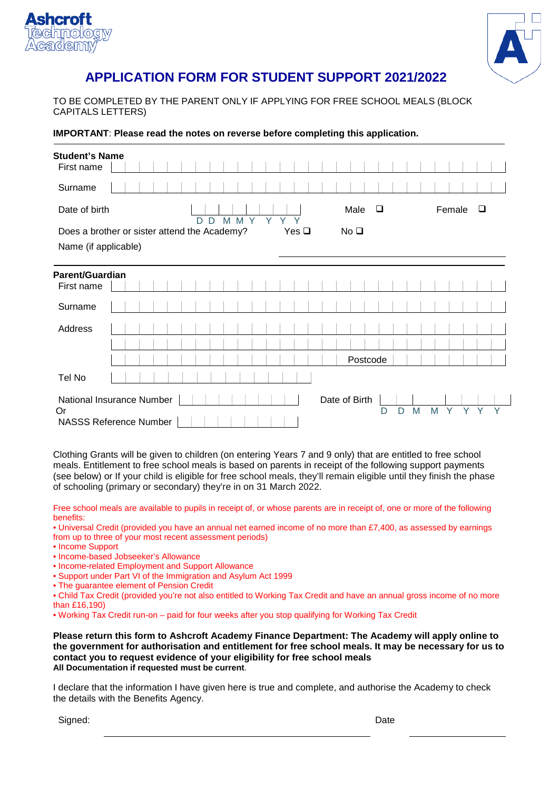



# **APPLICATION FORM FOR STUDENT SUPPORT 2021/2022**

TO BE COMPLETED BY THE PARENT ONLY IF APPLYING FOR FREE SCHOOL MEALS (BLOCK CAPITALS LETTERS)

**IMPORTANT**: **Please read the notes on reverse before completing this application.**

| <b>Student's Name</b><br>First name                                                                                    |  |  |  |  |  |  |  |  |  |   |   |  |           |  |  |  |          |             |  |  |  |  |  |  |  |
|------------------------------------------------------------------------------------------------------------------------|--|--|--|--|--|--|--|--|--|---|---|--|-----------|--|--|--|----------|-------------|--|--|--|--|--|--|--|
| Surname                                                                                                                |  |  |  |  |  |  |  |  |  |   |   |  |           |  |  |  |          |             |  |  |  |  |  |  |  |
| Date of birth<br>M Y<br>Y<br>M<br>D<br>D                                                                               |  |  |  |  |  |  |  |  |  | Y | Y |  | Male<br>❏ |  |  |  |          | Female<br>□ |  |  |  |  |  |  |  |
| Does a brother or sister attend the Academy?<br>Yes $\square$<br>No <sub>Q</sub>                                       |  |  |  |  |  |  |  |  |  |   |   |  |           |  |  |  |          |             |  |  |  |  |  |  |  |
| Name (if applicable)                                                                                                   |  |  |  |  |  |  |  |  |  |   |   |  |           |  |  |  |          |             |  |  |  |  |  |  |  |
| Parent/Guardian                                                                                                        |  |  |  |  |  |  |  |  |  |   |   |  |           |  |  |  |          |             |  |  |  |  |  |  |  |
| First name                                                                                                             |  |  |  |  |  |  |  |  |  |   |   |  |           |  |  |  |          |             |  |  |  |  |  |  |  |
| Surname                                                                                                                |  |  |  |  |  |  |  |  |  |   |   |  |           |  |  |  |          |             |  |  |  |  |  |  |  |
| Address                                                                                                                |  |  |  |  |  |  |  |  |  |   |   |  |           |  |  |  |          |             |  |  |  |  |  |  |  |
|                                                                                                                        |  |  |  |  |  |  |  |  |  |   |   |  |           |  |  |  |          |             |  |  |  |  |  |  |  |
|                                                                                                                        |  |  |  |  |  |  |  |  |  |   |   |  |           |  |  |  | Postcode |             |  |  |  |  |  |  |  |
| Tel No                                                                                                                 |  |  |  |  |  |  |  |  |  |   |   |  |           |  |  |  |          |             |  |  |  |  |  |  |  |
| National Insurance Number<br>Date of Birth<br>M<br><b>Or</b><br>M<br>Y<br>Y<br>D<br>D<br><b>NASSS Reference Number</b> |  |  |  |  |  |  |  |  |  |   |   |  |           |  |  |  |          |             |  |  |  |  |  |  |  |

Clothing Grants will be given to children (on entering Years 7 and 9 only) that are entitled to free school meals. Entitlement to free school meals is based on parents in receipt of the following support payments (see below) or If your child is eligible for free school meals, they'll remain eligible until they finish the phase of schooling (primary or secondary) they're in on 31 March 2022.

Free school meals are available to pupils in receipt of, or whose parents are in receipt of, one or more of the following benefits:

• Universal Credit (provided you have an annual net earned income of no more than £7,400, as assessed by earnings from up to three of your most recent assessment periods)

- Income Support
- Income-based Jobseeker's Allowance
- Income-related Employment and Support Allowance
- Support under Part VI of the Immigration and Asylum Act 1999
- The guarantee element of Pension Credit
- Child Tax Credit (provided you're not also entitled to Working Tax Credit and have an annual gross income of no more than £16,190)
- Working Tax Credit run-on paid for four weeks after you stop qualifying for Working Tax Credit

**Please return this form to Ashcroft Academy Finance Department: The Academy will apply online to the government for authorisation and entitlement for free school meals. It may be necessary for us to contact you to request evidence of your eligibility for free school meals All Documentation if requested must be current**.

I declare that the information I have given here is true and complete, and authorise the Academy to check the details with the Benefits Agency.

Signed: Date